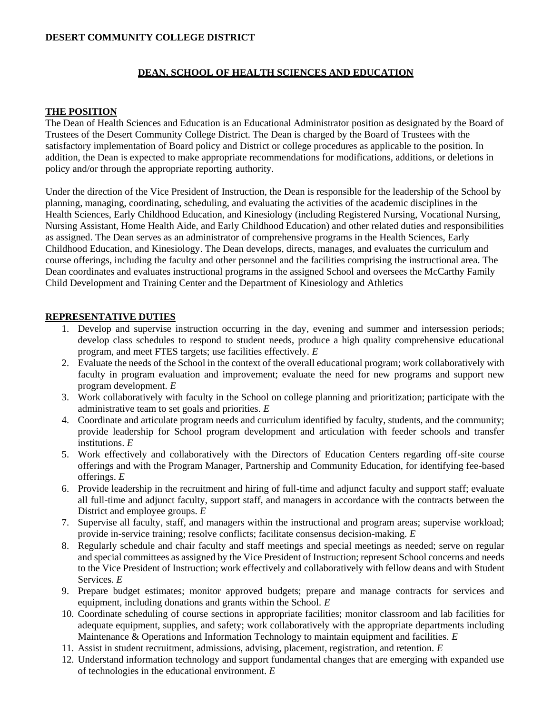# **DESERT COMMUNITY COLLEGE DISTRICT**

#### **DEAN, SCHOOL OF HEALTH SCIENCES AND EDUCATION**

#### **THE POSITION**

The Dean of Health Sciences and Education is an Educational Administrator position as designated by the Board of Trustees of the Desert Community College District. The Dean is charged by the Board of Trustees with the satisfactory implementation of Board policy and District or college procedures as applicable to the position. In addition, the Dean is expected to make appropriate recommendations for modifications, additions, or deletions in policy and/or through the appropriate reporting authority.

Under the direction of the Vice President of Instruction, the Dean is responsible for the leadership of the School by planning, managing, coordinating, scheduling, and evaluating the activities of the academic disciplines in the Health Sciences, Early Childhood Education, and Kinesiology (including Registered Nursing, Vocational Nursing, Nursing Assistant, Home Health Aide, and Early Childhood Education) and other related duties and responsibilities as assigned. The Dean serves as an administrator of comprehensive programs in the Health Sciences, Early Childhood Education, and Kinesiology. The Dean develops, directs, manages, and evaluates the curriculum and course offerings, including the faculty and other personnel and the facilities comprising the instructional area. The Dean coordinates and evaluates instructional programs in the assigned School and oversees the McCarthy Family Child Development and Training Center and the Department of Kinesiology and Athletics

### **REPRESENTATIVE DUTIES**

- 1. Develop and supervise instruction occurring in the day, evening and summer and intersession periods; develop class schedules to respond to student needs, produce a high quality comprehensive educational program, and meet FTES targets; use facilities effectively. *E*
- 2. Evaluate the needs of the School in the context of the overall educational program; work collaboratively with faculty in program evaluation and improvement; evaluate the need for new programs and support new program development. *E*
- 3. Work collaboratively with faculty in the School on college planning and prioritization; participate with the administrative team to set goals and priorities. *E*
- 4. Coordinate and articulate program needs and curriculum identified by faculty, students, and the community; provide leadership for School program development and articulation with feeder schools and transfer institutions. *E*
- 5. Work effectively and collaboratively with the Directors of Education Centers regarding off-site course offerings and with the Program Manager, Partnership and Community Education, for identifying fee-based offerings. *E*
- 6. Provide leadership in the recruitment and hiring of full-time and adjunct faculty and support staff; evaluate all full-time and adjunct faculty, support staff, and managers in accordance with the contracts between the District and employee groups. *E*
- 7. Supervise all faculty, staff, and managers within the instructional and program areas; supervise workload; provide in-service training; resolve conflicts; facilitate consensus decision-making. *E*
- 8. Regularly schedule and chair faculty and staff meetings and special meetings as needed; serve on regular and special committees as assigned by the Vice President of Instruction; represent School concerns and needs to the Vice President of Instruction; work effectively and collaboratively with fellow deans and with Student Services. *E*
- 9. Prepare budget estimates; monitor approved budgets; prepare and manage contracts for services and equipment, including donations and grants within the School. *E*
- 10. Coordinate scheduling of course sections in appropriate facilities; monitor classroom and lab facilities for adequate equipment, supplies, and safety; work collaboratively with the appropriate departments including Maintenance & Operations and Information Technology to maintain equipment and facilities. *E*
- 11. Assist in student recruitment, admissions, advising, placement, registration, and retention. *E*
- 12. Understand information technology and support fundamental changes that are emerging with expanded use of technologies in the educational environment. *E*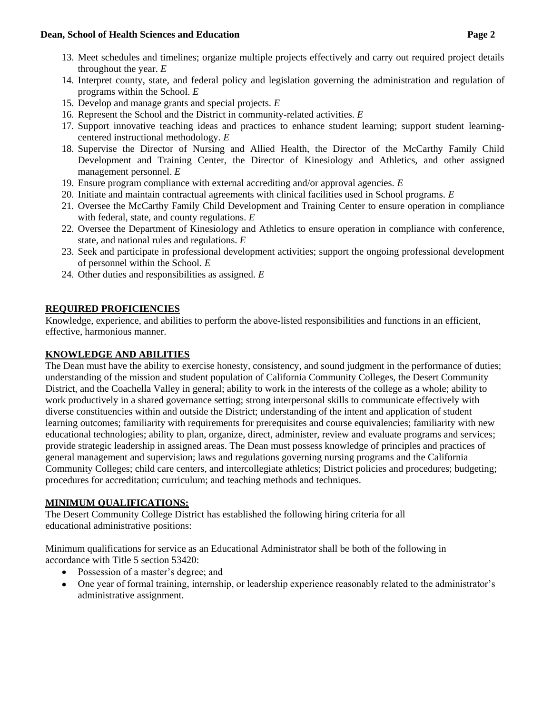#### **Dean, School of Health Sciences and Education Page 2**

- 13. Meet schedules and timelines; organize multiple projects effectively and carry out required project details throughout the year. *E*
- 14. Interpret county, state, and federal policy and legislation governing the administration and regulation of programs within the School. *E*
- 15. Develop and manage grants and special projects. *E*
- 16. Represent the School and the District in community-related activities. *E*
- 17. Support innovative teaching ideas and practices to enhance student learning; support student learningcentered instructional methodology. *E*
- 18. Supervise the Director of Nursing and Allied Health, the Director of the McCarthy Family Child Development and Training Center, the Director of Kinesiology and Athletics, and other assigned management personnel. *E*
- 19. Ensure program compliance with external accrediting and/or approval agencies. *E*
- 20. Initiate and maintain contractual agreements with clinical facilities used in School programs. *E*
- 21. Oversee the McCarthy Family Child Development and Training Center to ensure operation in compliance with federal, state, and county regulations. *E*
- 22. Oversee the Department of Kinesiology and Athletics to ensure operation in compliance with conference, state, and national rules and regulations. *E*
- 23. Seek and participate in professional development activities; support the ongoing professional development of personnel within the School. *E*
- 24. Other duties and responsibilities as assigned. *E*

### **REQUIRED PROFICIENCIES**

Knowledge, experience, and abilities to perform the above-listed responsibilities and functions in an efficient, effective, harmonious manner.

### **KNOWLEDGE AND ABILITIES**

The Dean must have the ability to exercise honesty, consistency, and sound judgment in the performance of duties; understanding of the mission and student population of California Community Colleges, the Desert Community District, and the Coachella Valley in general; ability to work in the interests of the college as a whole; ability to work productively in a shared governance setting; strong interpersonal skills to communicate effectively with diverse constituencies within and outside the District; understanding of the intent and application of student learning outcomes; familiarity with requirements for prerequisites and course equivalencies; familiarity with new educational technologies; ability to plan, organize, direct, administer, review and evaluate programs and services; provide strategic leadership in assigned areas. The Dean must possess knowledge of principles and practices of general management and supervision; laws and regulations governing nursing programs and the California Community Colleges; child care centers, and intercollegiate athletics; District policies and procedures; budgeting; procedures for accreditation; curriculum; and teaching methods and techniques.

## **MINIMUM QUALIFICATIONS:**

The Desert Community College District has established the following hiring criteria for all educational administrative positions:

Minimum qualifications for service as an Educational Administrator shall be both of the following in accordance with Title 5 section 53420:

- Possession of a master's degree; and
- One year of formal training, internship, or leadership experience reasonably related to the administrator's administrative assignment.